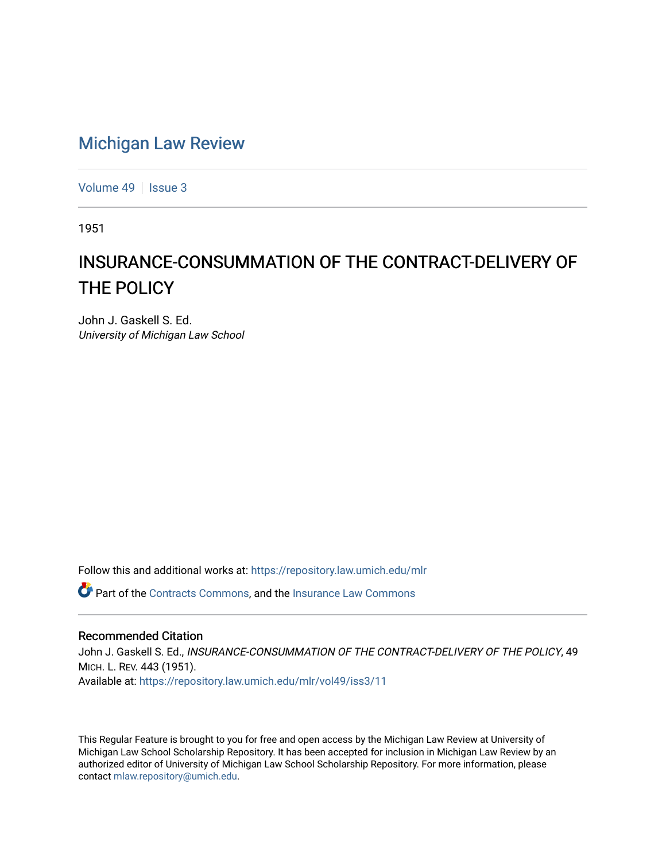## [Michigan Law Review](https://repository.law.umich.edu/mlr)

[Volume 49](https://repository.law.umich.edu/mlr/vol49) | [Issue 3](https://repository.law.umich.edu/mlr/vol49/iss3)

1951

## INSURANCE-CONSUMMATION OF THE CONTRACT-DELIVERY OF THE POLICY

John J. Gaskell S. Ed. University of Michigan Law School

Follow this and additional works at: [https://repository.law.umich.edu/mlr](https://repository.law.umich.edu/mlr?utm_source=repository.law.umich.edu%2Fmlr%2Fvol49%2Fiss3%2F11&utm_medium=PDF&utm_campaign=PDFCoverPages) 

Part of the [Contracts Commons](http://network.bepress.com/hgg/discipline/591?utm_source=repository.law.umich.edu%2Fmlr%2Fvol49%2Fiss3%2F11&utm_medium=PDF&utm_campaign=PDFCoverPages), and the [Insurance Law Commons](http://network.bepress.com/hgg/discipline/607?utm_source=repository.law.umich.edu%2Fmlr%2Fvol49%2Fiss3%2F11&utm_medium=PDF&utm_campaign=PDFCoverPages)

## Recommended Citation

John J. Gaskell S. Ed., INSURANCE-CONSUMMATION OF THE CONTRACT-DELIVERY OF THE POLICY, 49 MICH. L. REV. 443 (1951). Available at: [https://repository.law.umich.edu/mlr/vol49/iss3/11](https://repository.law.umich.edu/mlr/vol49/iss3/11?utm_source=repository.law.umich.edu%2Fmlr%2Fvol49%2Fiss3%2F11&utm_medium=PDF&utm_campaign=PDFCoverPages) 

This Regular Feature is brought to you for free and open access by the Michigan Law Review at University of Michigan Law School Scholarship Repository. It has been accepted for inclusion in Michigan Law Review by an authorized editor of University of Michigan Law School Scholarship Repository. For more information, please contact [mlaw.repository@umich.edu](mailto:mlaw.repository@umich.edu).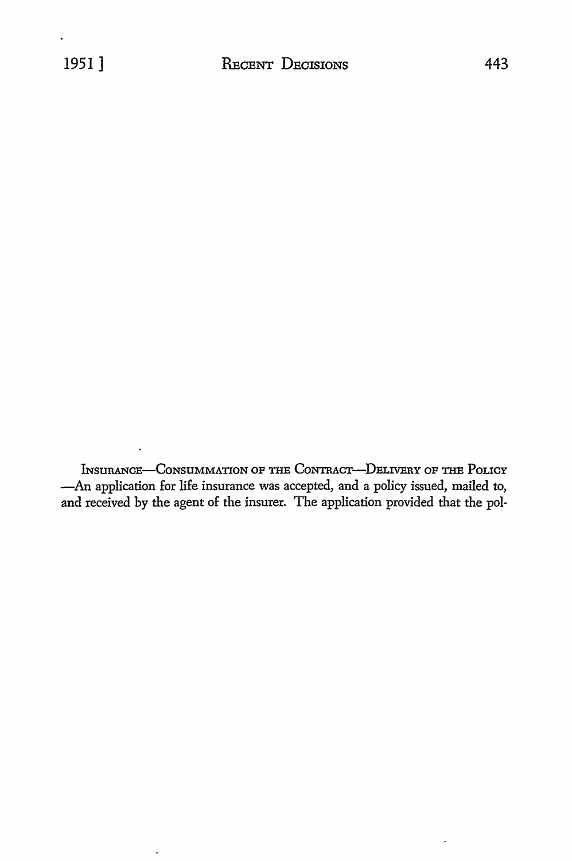INSURANCE-CONSUMMATION OF THE CONTRACT-DELIVERY OF THE POLICY -An application for life insurance was accepted, and a policy issued, mailed to, and received by the agent of the insurer. The application provided that the pol-

l,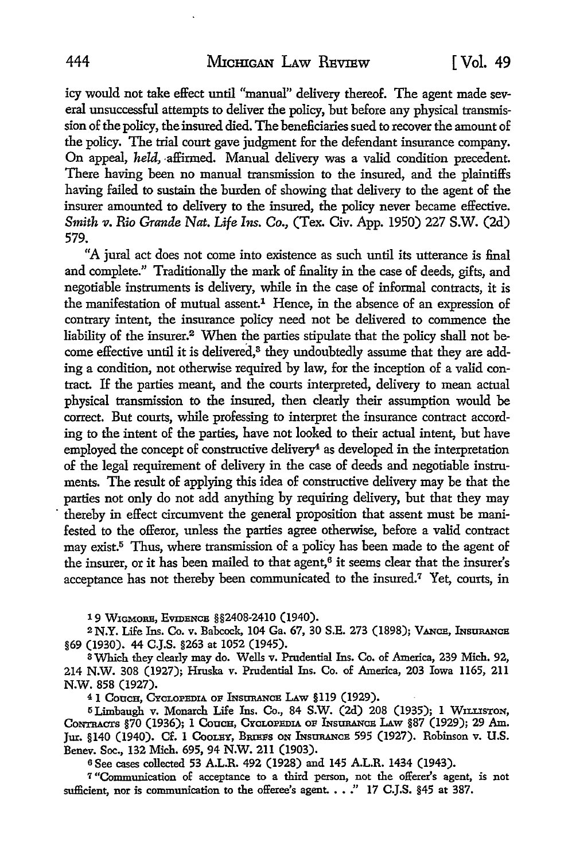icy would not take effect until "manual" delivery thereof. The agent made several unsuccessful attempts to deliver the policy, but before any physical transmission of the policy, the insured died. The beneficiaries sued to recover the amount of the policy. The trial court gave judgment for the defendant insurance company. On appeal, *held*, affirmed. Manual delivery was a valid condition precedent. There having been no manual transmission to the insured, and the plaintiffs having failed to sustain the burden of showing that delivery to the agent of the insurer amounted to delivery to the insured, the policy never became effective. *Smith v. Rio Grande Nat. Life Ins. Co., (Tex. Civ. App. 1950) 227 S.W. (2d)* 579.

"A jural act does not come into existence as such until its utterance is final and complete." Traditionally the mark of finality in the case of deeds, gifts, and negotiable instruments is delivery, while in the case of informal contracts, it is the manifestation of mutual assent.<sup>1</sup> Hence, in the absence of an expression of contrary intent, the insurance policy need not be delivered to commence the liability of the insurer.2 When the parties stipulate that the policy shall not become effective until it is delivered,<sup>3</sup> they undoubtedly assume that they are adding a condition, not otherwise required by law, for the inception of a valid contract. If the parties meant, and the courts interpreted, delivery to mean actual physical transmission to the insured, then clearly their assumption would be correct. But courts, while professing to interpret the insurance contract according to the intent of the parties, have not looked to their actual intent, but have employed the concept of constructive delivery<sup>4</sup> as developed in the interpretation of the legal requirement of delivery in the case of deeds and negotiable instruments. The result of applying this idea of constructive delivery may be that the parties not only do not add anything by requiring delivery, but that they may thereby in effect circumvent the general proposition that assent must be manifested to the offeror, unless the parties agree otherwise, before a valid contract may exist.5 Thus, where transmission of a policy has been made to the agent of the insurer, or it has been mailed to that agent,<sup>6</sup> it seems clear that the insurer's acceptance has not thereby been communicated to the insured.<sup>7</sup> Yet, courts, in

19 WIGMORE, EVIDENCE §§2408-2410 (1940).

<sup>2</sup> N.Y. Life Ins. Co. v. Babcock, 104 Ga. 67, 30 S.E. 273 (1898); VANCE, INSURANCE §69 (1930). 44 C.J.S. §263 at 1052 (1945).

3Which they clearly may do. Wells v. Prudential Ins. Co. of America, 239 Mich. 92, 214 N.W. 308 (1927); Hruska v. Prudential Ins. Co. of America, 203 Iowa 1165, 211 N.W. 858 (1927).

<sup>4</sup> 1 Couch, Cyclopedia of Insurance Law §119 (1929).

15 Limbaugh v. Monarch Life Ins. Co., 84 S.W. (2d) 208 (1935); 1 WILLISTON, CONTRACTS §70 (1936); 1 COUCH, CYCLOPEDIA OF INSURANCE LAW §87 (1929); 29 Am. Jur. §140 (1940). Cf. 1 COOLEY, BRIEFS ON INSURANCE 595 (1927). Robinson v. U.S. Benev. Soc., 132 Mich. 695, 94 N.W. 211 (1903).

<sup>6</sup>See cases collected 53 A.L.R. 492 (1928) and 145 A.L.R. 1434 (1943).

7 "Communication of acceptance to a third person, not the offerer's agent, is not sufficient, nor is communication to the offeree's agent. . . ." 17 C.J.S. §45 at 387.